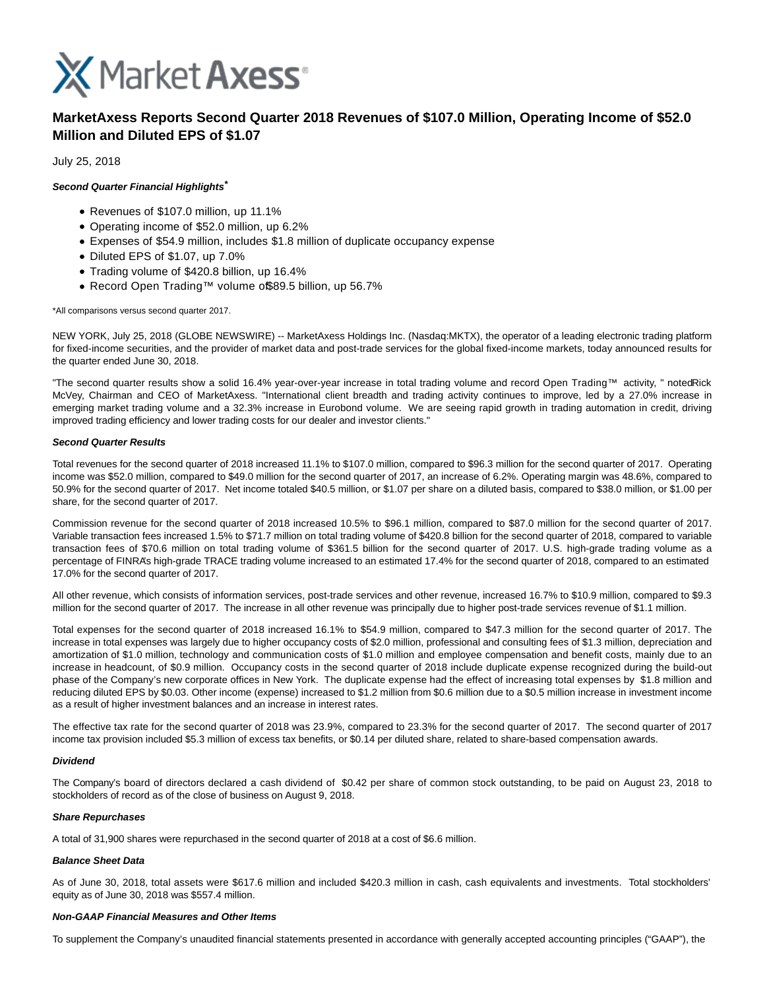

# **MarketAxess Reports Second Quarter 2018 Revenues of \$107.0 Million, Operating Income of \$52.0 Million and Diluted EPS of \$1.07**

July 25, 2018

### **Second Quarter Financial Highlights\***

- Revenues of \$107.0 million, up 11.1%
- Operating income of \$52.0 million, up 6.2%
- Expenses of \$54.9 million, includes \$1.8 million of duplicate occupancy expense
- Diluted EPS of \$1.07, up 7.0%
- Trading volume of \$420.8 billion, up 16.4%
- Record Open Trading™ volume of\$89.5 billion, up 56.7%

#### \*All comparisons versus second quarter 2017.

NEW YORK, July 25, 2018 (GLOBE NEWSWIRE) -- MarketAxess Holdings Inc. (Nasdaq:MKTX), the operator of a leading electronic trading platform for fixed-income securities, and the provider of market data and post-trade services for the global fixed-income markets, today announced results for the quarter ended June 30, 2018.

"The second quarter results show a solid 16.4% year-over-year increase in total trading volume and record Open Trading™ activity, " notedRick McVey, Chairman and CEO of MarketAxess. "International client breadth and trading activity continues to improve, led by a 27.0% increase in emerging market trading volume and a 32.3% increase in Eurobond volume. We are seeing rapid growth in trading automation in credit, driving improved trading efficiency and lower trading costs for our dealer and investor clients."

#### **Second Quarter Results**

Total revenues for the second quarter of 2018 increased 11.1% to \$107.0 million, compared to \$96.3 million for the second quarter of 2017. Operating income was \$52.0 million, compared to \$49.0 million for the second quarter of 2017, an increase of 6.2%. Operating margin was 48.6%, compared to 50.9% for the second quarter of 2017. Net income totaled \$40.5 million, or \$1.07 per share on a diluted basis, compared to \$38.0 million, or \$1.00 per share, for the second quarter of 2017.

Commission revenue for the second quarter of 2018 increased 10.5% to \$96.1 million, compared to \$87.0 million for the second quarter of 2017. Variable transaction fees increased 1.5% to \$71.7 million on total trading volume of \$420.8 billion for the second quarter of 2018, compared to variable transaction fees of \$70.6 million on total trading volume of \$361.5 billion for the second quarter of 2017. U.S. high-grade trading volume as a percentage of FINRA's high-grade TRACE trading volume increased to an estimated 17.4% for the second quarter of 2018, compared to an estimated 17.0% for the second quarter of 2017.

All other revenue, which consists of information services, post-trade services and other revenue, increased 16.7% to \$10.9 million, compared to \$9.3 million for the second quarter of 2017. The increase in all other revenue was principally due to higher post-trade services revenue of \$1.1 million.

Total expenses for the second quarter of 2018 increased 16.1% to \$54.9 million, compared to \$47.3 million for the second quarter of 2017. The increase in total expenses was largely due to higher occupancy costs of \$2.0 million, professional and consulting fees of \$1.3 million, depreciation and amortization of \$1.0 million, technology and communication costs of \$1.0 million and employee compensation and benefit costs, mainly due to an increase in headcount, of \$0.9 million. Occupancy costs in the second quarter of 2018 include duplicate expense recognized during the build-out phase of the Company's new corporate offices in New York. The duplicate expense had the effect of increasing total expenses by \$1.8 million and reducing diluted EPS by \$0.03. Other income (expense) increased to \$1.2 million from \$0.6 million due to a \$0.5 million increase in investment income as a result of higher investment balances and an increase in interest rates.

The effective tax rate for the second quarter of 2018 was 23.9%, compared to 23.3% for the second quarter of 2017. The second quarter of 2017 income tax provision included \$5.3 million of excess tax benefits, or \$0.14 per diluted share, related to share-based compensation awards.

#### **Dividend**

The Company's board of directors declared a cash dividend of \$0.42 per share of common stock outstanding, to be paid on August 23, 2018 to stockholders of record as of the close of business on August 9, 2018.

#### **Share Repurchases**

A total of 31,900 shares were repurchased in the second quarter of 2018 at a cost of \$6.6 million.

#### **Balance Sheet Data**

As of June 30, 2018, total assets were \$617.6 million and included \$420.3 million in cash, cash equivalents and investments. Total stockholders' equity as of June 30, 2018 was \$557.4 million.

#### **Non-GAAP Financial Measures and Other Items**

To supplement the Company's unaudited financial statements presented in accordance with generally accepted accounting principles ("GAAP"), the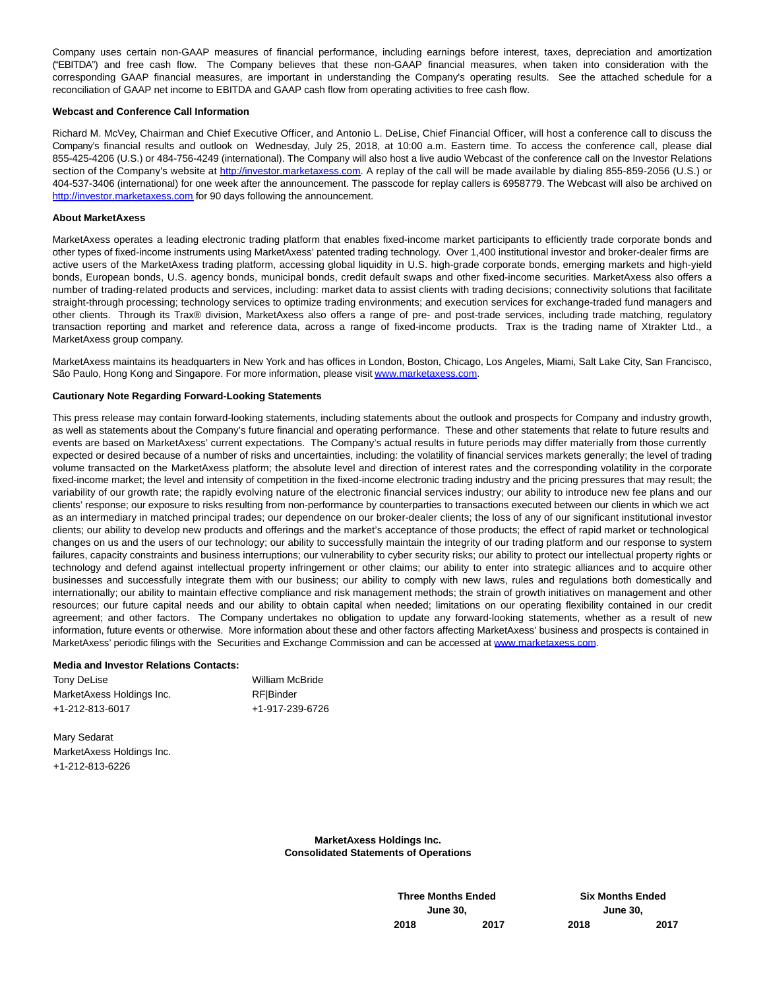Company uses certain non-GAAP measures of financial performance, including earnings before interest, taxes, depreciation and amortization ("EBITDA") and free cash flow. The Company believes that these non-GAAP financial measures, when taken into consideration with the corresponding GAAP financial measures, are important in understanding the Company's operating results. See the attached schedule for a reconciliation of GAAP net income to EBITDA and GAAP cash flow from operating activities to free cash flow.

#### **Webcast and Conference Call Information**

Richard M. McVey, Chairman and Chief Executive Officer, and Antonio L. DeLise, Chief Financial Officer, will host a conference call to discuss the Company's financial results and outlook on Wednesday, July 25, 2018, at 10:00 a.m. Eastern time. To access the conference call, please dial 855-425-4206 (U.S.) or 484-756-4249 (international). The Company will also host a live audio Webcast of the conference call on the Investor Relations section of the Company's website at [http://investor.marketaxess.com.](https://www.globenewswire.com/Tracker?data=sKNouurp7BraPczkvJH6So_nHB1-qA4KbuYD3GYG9TP8Pf9SFWyig95_HG6wzVdgchMFe1uM3D3_R5spvBhhVeaM2jYtkiH0zHD20YbkpeDXIpVacctus9McNjD-Muyu) A replay of the call will be made available by dialing 855-859-2056 (U.S.) or 404-537-3406 (international) for one week after the announcement. The passcode for replay callers is 6958779. The Webcast will also be archived on [http://investor.marketaxess.com f](https://www.globenewswire.com/Tracker?data=sKNouurp7BraPczkvJH6So_nHB1-qA4KbuYD3GYG9TMlCjoKVvD6UBEakTuGPG7PLqep4PujGGLwjyGp9XyuEhzKZB-oKxQfyIMZyTftLe1OnZCwxq7FFoT1ISHb6C2O)or 90 days following the announcement.

#### **About MarketAxess**

MarketAxess operates a leading electronic trading platform that enables fixed-income market participants to efficiently trade corporate bonds and other types of fixed-income instruments using MarketAxess' patented trading technology. Over 1,400 institutional investor and broker-dealer firms are active users of the MarketAxess trading platform, accessing global liquidity in U.S. high-grade corporate bonds, emerging markets and high-yield bonds, European bonds, U.S. agency bonds, municipal bonds, credit default swaps and other fixed-income securities. MarketAxess also offers a number of trading-related products and services, including: market data to assist clients with trading decisions; connectivity solutions that facilitate straight-through processing; technology services to optimize trading environments; and execution services for exchange-traded fund managers and other clients. Through its Trax® division, MarketAxess also offers a range of pre- and post-trade services, including trade matching, regulatory transaction reporting and market and reference data, across a range of fixed-income products. Trax is the trading name of Xtrakter Ltd., a MarketAxess group company.

MarketAxess maintains its headquarters in New York and has offices in London, Boston, Chicago, Los Angeles, Miami, Salt Lake City, San Francisco, São Paulo, Hong Kong and Singapore. For more information, please visi[t www.marketaxess.com.](https://www.globenewswire.com/Tracker?data=NiZ6NwO0sMDg-g-THhbccRMw7VleU1xt73bhyCuTygLlYo-Tg-kpGXI7xhSS7vbpHV4TzVZvRddj8soT4TpljWJSgcQh4Lv_gYnaBhXSbk8=)

#### **Cautionary Note Regarding Forward-Looking Statements**

This press release may contain forward-looking statements, including statements about the outlook and prospects for Company and industry growth, as well as statements about the Company's future financial and operating performance. These and other statements that relate to future results and events are based on MarketAxess' current expectations. The Company's actual results in future periods may differ materially from those currently expected or desired because of a number of risks and uncertainties, including: the volatility of financial services markets generally; the level of trading volume transacted on the MarketAxess platform; the absolute level and direction of interest rates and the corresponding volatility in the corporate fixed-income market; the level and intensity of competition in the fixed-income electronic trading industry and the pricing pressures that may result; the variability of our growth rate; the rapidly evolving nature of the electronic financial services industry; our ability to introduce new fee plans and our clients' response; our exposure to risks resulting from non-performance by counterparties to transactions executed between our clients in which we act as an intermediary in matched principal trades; our dependence on our broker-dealer clients; the loss of any of our significant institutional investor clients; our ability to develop new products and offerings and the market's acceptance of those products; the effect of rapid market or technological changes on us and the users of our technology; our ability to successfully maintain the integrity of our trading platform and our response to system failures, capacity constraints and business interruptions; our vulnerability to cyber security risks; our ability to protect our intellectual property rights or technology and defend against intellectual property infringement or other claims; our ability to enter into strategic alliances and to acquire other businesses and successfully integrate them with our business; our ability to comply with new laws, rules and regulations both domestically and internationally; our ability to maintain effective compliance and risk management methods; the strain of growth initiatives on management and other resources; our future capital needs and our ability to obtain capital when needed; limitations on our operating flexibility contained in our credit agreement; and other factors. The Company undertakes no obligation to update any forward-looking statements, whether as a result of new information, future events or otherwise. More information about these and other factors affecting MarketAxess' business and prospects is contained in MarketAxess' periodic filings with the Securities and Exchange Commission and can be accessed at [www.marketaxess.com.](https://www.globenewswire.com/Tracker?data=NiZ6NwO0sMDg-g-THhbccZVseDuhyybsZ-ziBIB2bLsVRujyipEEkpswQwSVGmlkq6uU8JGtcX_vAwsVLIhqx4UChKLZJDCSixEGMKvouOo=)

#### **Media and Investor Relations Contacts:**

| Tony DeLise               | <b>William McBride</b> |
|---------------------------|------------------------|
| MarketAxess Holdings Inc. | <b>RF</b> IBinder      |
| +1-212-813-6017           | +1-917-239-6726        |

Mary Sedarat MarketAxess Holdings Inc. +1-212-813-6226

> **MarketAxess Holdings Inc. Consolidated Statements of Operations**

> > **Three Months Ended Six Months Ended June 30, June 30, 2018 2017 2018 2017**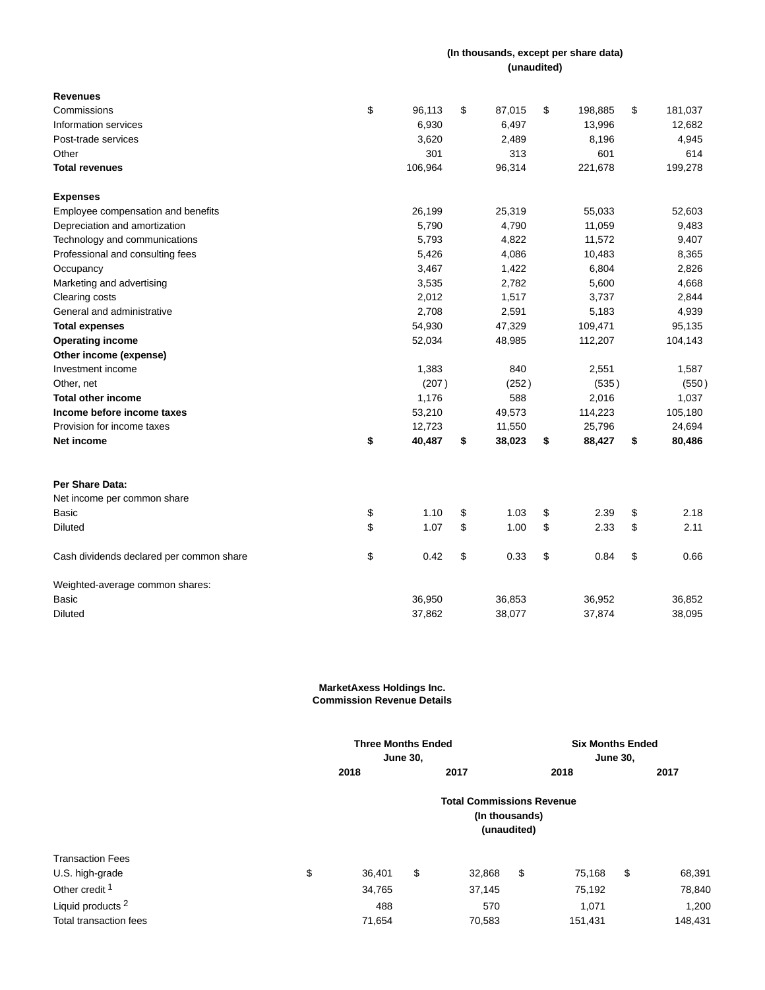## **(In thousands, except per share data) (unaudited)**

| <b>Revenues</b>                          |              |              |               |               |
|------------------------------------------|--------------|--------------|---------------|---------------|
| Commissions                              | \$<br>96,113 | \$<br>87,015 | \$<br>198,885 | \$<br>181,037 |
| Information services                     | 6,930        | 6,497        | 13,996        | 12,682        |
| Post-trade services                      | 3,620        | 2,489        | 8,196         | 4,945         |
| Other                                    | 301          | 313          | 601           | 614           |
| <b>Total revenues</b>                    | 106,964      | 96,314       | 221,678       | 199,278       |
| <b>Expenses</b>                          |              |              |               |               |
| Employee compensation and benefits       | 26,199       | 25,319       | 55,033        | 52,603        |
| Depreciation and amortization            | 5,790        | 4,790        | 11,059        | 9,483         |
| Technology and communications            | 5,793        | 4,822        | 11,572        | 9,407         |
| Professional and consulting fees         | 5,426        | 4,086        | 10,483        | 8,365         |
| Occupancy                                | 3,467        | 1,422        | 6,804         | 2,826         |
| Marketing and advertising                | 3,535        | 2,782        | 5,600         | 4,668         |
| Clearing costs                           | 2,012        | 1,517        | 3,737         | 2,844         |
| General and administrative               | 2,708        | 2,591        | 5,183         | 4,939         |
| <b>Total expenses</b>                    | 54,930       | 47,329       | 109,471       | 95,135        |
| <b>Operating income</b>                  | 52,034       | 48,985       | 112,207       | 104,143       |
| Other income (expense)                   |              |              |               |               |
| Investment income                        | 1,383        | 840          | 2,551         | 1,587         |
| Other, net                               | (207)        | (252)        | (535)         | (550)         |
| <b>Total other income</b>                | 1,176        | 588          | 2,016         | 1,037         |
| Income before income taxes               | 53,210       | 49,573       | 114,223       | 105,180       |
| Provision for income taxes               | 12,723       | 11,550       | 25,796        | 24,694        |
| Net income                               | \$<br>40,487 | \$<br>38,023 | \$<br>88,427  | \$<br>80,486  |
| Per Share Data:                          |              |              |               |               |
| Net income per common share              |              |              |               |               |
| Basic                                    | \$<br>1.10   | \$<br>1.03   | \$<br>2.39    | \$<br>2.18    |
| <b>Diluted</b>                           | \$<br>1.07   | \$<br>1.00   | \$<br>2.33    | \$<br>2.11    |
| Cash dividends declared per common share | \$<br>0.42   | \$<br>0.33   | \$<br>0.84    | \$<br>0.66    |
| Weighted-average common shares:          |              |              |               |               |
| <b>Basic</b>                             | 36,950       | 36,853       | 36,952        | 36,852        |
| <b>Diluted</b>                           | 37,862       | 38,077       | 37,874        | 38,095        |

#### **MarketAxess Holdings Inc. Commission Revenue Details**

|                              | <b>Three Months Ended</b>                                         |                 |        |    | <b>Six Months Ended</b> |                 |         |  |
|------------------------------|-------------------------------------------------------------------|-----------------|--------|----|-------------------------|-----------------|---------|--|
|                              |                                                                   | <b>June 30,</b> |        |    |                         | <b>June 30,</b> |         |  |
|                              | 2018                                                              |                 | 2017   |    | 2018                    |                 | 2017    |  |
|                              | <b>Total Commissions Revenue</b><br>(In thousands)<br>(unaudited) |                 |        |    |                         |                 |         |  |
| <b>Transaction Fees</b>      |                                                                   |                 |        |    |                         |                 |         |  |
| U.S. high-grade              | \$<br>36,401                                                      | \$              | 32,868 | \$ | 75,168                  | \$              | 68,391  |  |
| Other credit <sup>1</sup>    | 34,765                                                            |                 | 37,145 |    | 75,192                  |                 | 78,840  |  |
| Liquid products <sup>2</sup> | 488                                                               |                 | 570    |    | 1,071                   |                 | 1,200   |  |
| Total transaction fees       | 71,654                                                            |                 | 70,583 |    | 151,431                 |                 | 148.431 |  |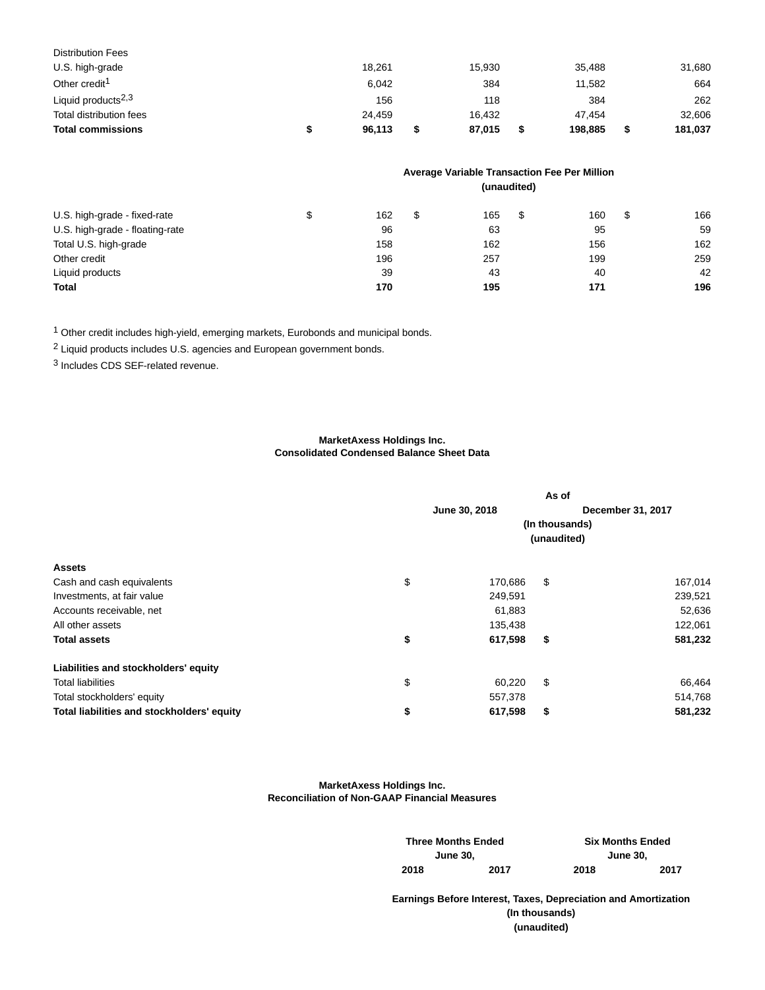| <b>Total commissions</b>       | 96.113 | 87,015 | 198.885 | 181,037 |
|--------------------------------|--------|--------|---------|---------|
| Total distribution fees        | 24.459 | 16.432 | 47.454  | 32,606  |
| Liquid products <sup>2,3</sup> | 156    | 118    | 384     | 262     |
| Other credit <sup>1</sup>      | 6.042  | 384    | 11,582  | 664     |
| U.S. high-grade                | 18.261 | 15,930 | 35.488  | 31,680  |
| <b>Distribution Fees</b>       |        |        |         |         |

|                                 | Average Variable Transaction Fee Per Million<br>(unaudited) |     |    |     |   |     |   |     |
|---------------------------------|-------------------------------------------------------------|-----|----|-----|---|-----|---|-----|
|                                 |                                                             |     |    |     |   |     |   |     |
| U.S. high-grade - fixed-rate    |                                                             | 162 | \$ | 165 | S | 160 | S | 166 |
| U.S. high-grade - floating-rate |                                                             | 96  |    | 63  |   | 95  |   | 59  |
| Total U.S. high-grade           |                                                             | 158 |    | 162 |   | 156 |   | 162 |
| Other credit                    |                                                             | 196 |    | 257 |   | 199 |   | 259 |
| Liquid products                 |                                                             | 39  |    | 43  |   | 40  |   | 42  |
| <b>Total</b>                    |                                                             | 170 |    | 195 |   | 171 |   | 196 |

1 Other credit includes high-yield, emerging markets, Eurobonds and municipal bonds.

2 Liquid products includes U.S. agencies and European government bonds.

3 Includes CDS SEF-related revenue.

## **MarketAxess Holdings Inc. Consolidated Condensed Balance Sheet Data**

|                                            |             | As of         |                |                   |  |  |
|--------------------------------------------|-------------|---------------|----------------|-------------------|--|--|
|                                            |             | June 30, 2018 |                | December 31, 2017 |  |  |
|                                            |             |               | (In thousands) |                   |  |  |
|                                            | (unaudited) |               |                |                   |  |  |
| <b>Assets</b>                              |             |               |                |                   |  |  |
| Cash and cash equivalents                  | \$          | 170,686       | \$             | 167,014           |  |  |
| Investments, at fair value                 |             | 249,591       |                | 239,521           |  |  |
| Accounts receivable, net                   |             | 61,883        |                | 52,636            |  |  |
| All other assets                           |             | 135,438       |                | 122,061           |  |  |
| <b>Total assets</b>                        | \$          | 617,598       | \$             | 581,232           |  |  |
| Liabilities and stockholders' equity       |             |               |                |                   |  |  |
| <b>Total liabilities</b>                   | \$          | 60,220        | \$             | 66,464            |  |  |
| Total stockholders' equity                 |             | 557,378       |                | 514,768           |  |  |
| Total liabilities and stockholders' equity | \$          | 617,598       | \$             | 581,232           |  |  |

**MarketAxess Holdings Inc. Reconciliation of Non-GAAP Financial Measures**

|      | <b>Three Months Ended</b> | <b>Six Months Ended</b> |      |  |  |  |
|------|---------------------------|-------------------------|------|--|--|--|
|      | <b>June 30.</b>           | <b>June 30.</b>         |      |  |  |  |
| 2018 | 2017                      | 2018                    | 2017 |  |  |  |

**Earnings Before Interest, Taxes, Depreciation and Amortization (In thousands) (unaudited)**